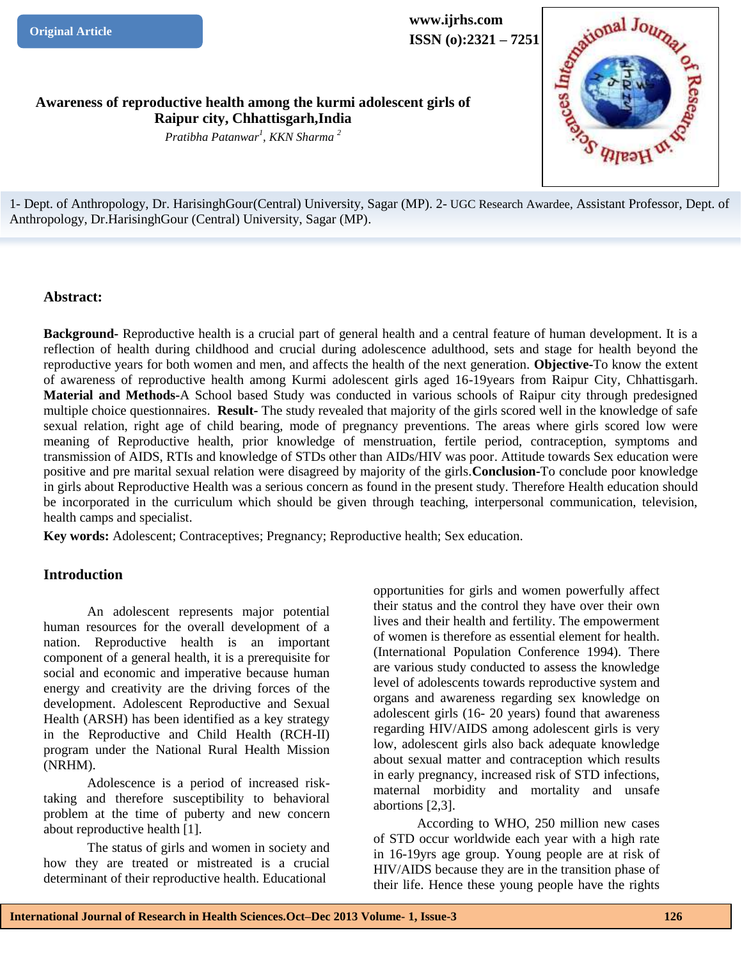**www.ijrhs.com**

**ISSN (o):2321 – 7251**<br>
ent girls of

**Awareness of reproductive health among the kurmi adolescent girls of Raipur city, Chhattisgarh,India** 

*Pratibha Patanwar<sup>1</sup> , KKN Sharma <sup>2</sup>*

1*-* Dept. of Anthropology, Dr. HarisinghGour(Central) University, Sagar (MP). 2- UGC Research Awardee, Assistant Professor, Dept. of Anthropology, Dr.HarisinghGour (Central) University, Sagar (MP).

## **Abstract:**

**Background-** Reproductive health is a crucial part of general health and a central feature of human development. It is a reflection of health during childhood and crucial during adolescence adulthood, sets and stage for health beyond the reproductive years for both women and men, and affects the health of the next generation. **Objective-**To know the extent of awareness of reproductive health among Kurmi adolescent girls aged 16-19years from Raipur City, Chhattisgarh. **Material and Methods-**A School based Study was conducted in various schools of Raipur city through predesigned multiple choice questionnaires. **Result-** The study revealed that majority of the girls scored well in the knowledge of safe sexual relation, right age of child bearing, mode of pregnancy preventions. The areas where girls scored low were meaning of Reproductive health, prior knowledge of menstruation, fertile period, contraception, symptoms and transmission of AIDS, RTIs and knowledge of STDs other than AIDs/HIV was poor. Attitude towards Sex education were positive and pre marital sexual relation were disagreed by majority of the girls.**Conclusion-**To conclude poor knowledge in girls about Reproductive Health was a serious concern as found in the present study. Therefore Health education should be incorporated in the curriculum which should be given through teaching, interpersonal communication, television, health camps and specialist.

**Key words:** Adolescent; Contraceptives; Pregnancy; Reproductive health; Sex education.

## **Introduction**

An adolescent represents major potential human resources for the overall development of a nation. Reproductive health is an important component of a general health, it is a prerequisite for social and economic and imperative because human energy and creativity are the driving forces of the development. Adolescent Reproductive and Sexual Health (ARSH) has been identified as a key strategy in the Reproductive and Child Health (RCH-II) program under the National Rural Health Mission (NRHM).

Adolescence is a period of increased risktaking and therefore susceptibility to behavioral problem at the time of puberty and new concern about reproductive health [1].

The status of girls and women in society and how they are treated or mistreated is a crucial determinant of their reproductive health. Educational

opportunities for girls and women powerfully affect their status and the control they have over their own lives and their health and fertility. The empowerment of women is therefore as essential element for health. (International Population Conference 1994). There are various study conducted to assess the knowledge level of adolescents towards reproductive system and organs and awareness regarding sex knowledge on adolescent girls (16- 20 years) found that awareness regarding HIV/AIDS among adolescent girls is very low, adolescent girls also back adequate knowledge about sexual matter and contraception which results in early pregnancy, increased risk of STD infections, maternal morbidity and mortality and unsafe abortions [2,3].

According to WHO, 250 million new cases of STD occur worldwide each year with a high rate in 16-19yrs age group. Young people are at risk of HIV/AIDS because they are in the transition phase of their life. Hence these young people have the rights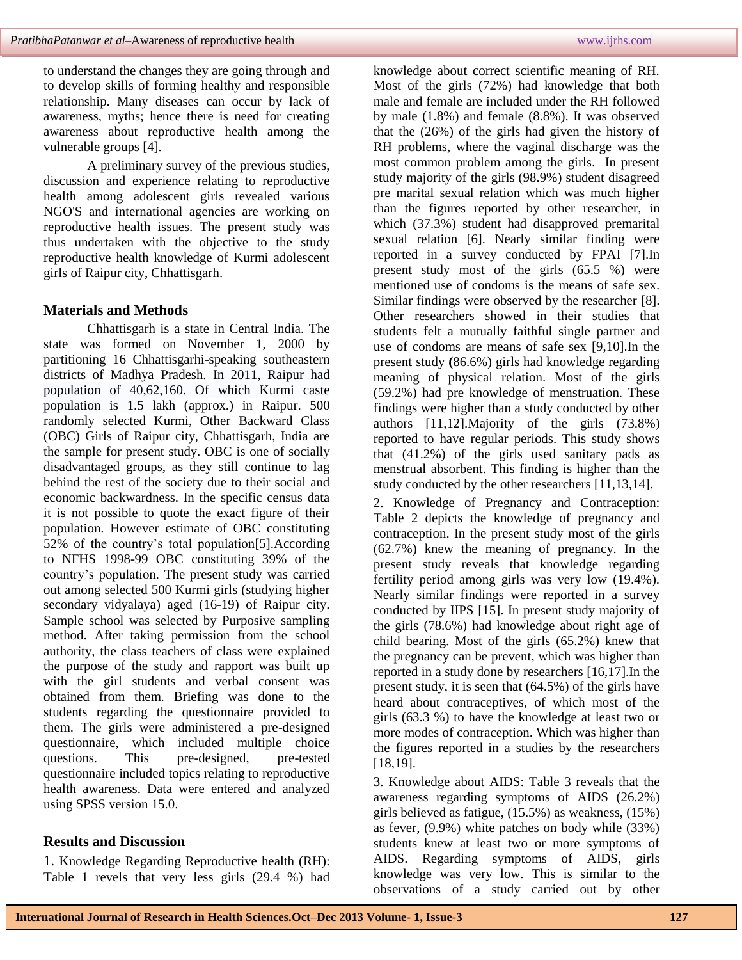to understand the changes they are going through and to develop skills of forming healthy and responsible relationship. Many diseases can occur by lack of awareness, myths; hence there is need for creating awareness about reproductive health among the vulnerable groups [4].

A preliminary survey of the previous studies, discussion and experience relating to reproductive health among adolescent girls revealed various NGO'S and international agencies are working on reproductive health issues. The present study was thus undertaken with the objective to the study reproductive health knowledge of Kurmi adolescent girls of Raipur city, Chhattisgarh.

## **Materials and Methods**

Chhattisgarh is a state in Central India. The state was formed on November 1, 2000 by partitioning 16 Chhattisgarhi-speaking southeastern districts of Madhya Pradesh. In 2011, Raipur had population of 40,62,160. Of which Kurmi caste population is 1.5 lakh (approx.) in Raipur. 500 randomly selected Kurmi, Other Backward Class (OBC) Girls of Raipur city, Chhattisgarh, India are the sample for present study. OBC is one of socially disadvantaged groups, as they still continue to lag behind the rest of the society due to their social and economic backwardness. In the specific census data it is not possible to quote the exact figure of their population. However estimate of OBC constituting 52% of the country's total population[5].According to NFHS 1998-99 OBC constituting 39% of the country's population. The present study was carried out among selected 500 Kurmi girls (studying higher secondary vidyalaya) aged (16-19) of Raipur city. Sample school was selected by Purposive sampling method. After taking permission from the school authority, the class teachers of class were explained the purpose of the study and rapport was built up with the girl students and verbal consent was obtained from them. Briefing was done to the students regarding the questionnaire provided to them. The girls were administered a pre-designed questionnaire, which included multiple choice questions. This pre-designed, pre-tested questionnaire included topics relating to reproductive health awareness. Data were entered and analyzed using SPSS version 15.0.

## **Results and Discussion**

1. Knowledge Regarding Reproductive health (RH): Table 1 revels that very less girls (29.4 %) had knowledge about correct scientific meaning of RH. Most of the girls (72%) had knowledge that both male and female are included under the RH followed by male (1.8%) and female (8.8%). It was observed that the (26%) of the girls had given the history of RH problems, where the vaginal discharge was the most common problem among the girls. In present study majority of the girls (98.9%) student disagreed pre marital sexual relation which was much higher than the figures reported by other researcher, in which (37.3%) student had disapproved premarital sexual relation [6]. Nearly similar finding were reported in a survey conducted by FPAI [7].In present study most of the girls (65.5 %) were mentioned use of condoms is the means of safe sex. Similar findings were observed by the researcher [8]. Other researchers showed in their studies that students felt a mutually faithful single partner and use of condoms are means of safe sex [9,10].In the present study **(**86.6%) girls had knowledge regarding meaning of physical relation. Most of the girls (59.2%) had pre knowledge of menstruation. These findings were higher than a study conducted by other authors [11,12].Majority of the girls (73.8%) reported to have regular periods. This study shows that (41.2%) of the girls used sanitary pads as menstrual absorbent. This finding is higher than the study conducted by the other researchers [11,13,14].

2. Knowledge of Pregnancy and Contraception: Table 2 depicts the knowledge of pregnancy and contraception. In the present study most of the girls (62.7%) knew the meaning of pregnancy. In the present study reveals that knowledge regarding fertility period among girls was very low (19.4%). Nearly similar findings were reported in a survey conducted by IIPS [15]. In present study majority of the girls (78.6%) had knowledge about right age of child bearing. Most of the girls (65.2%) knew that the pregnancy can be prevent, which was higher than reported in a study done by researchers [16,17].In the present study, it is seen that (64.5%) of the girls have heard about contraceptives, of which most of the girls (63.3 %) to have the knowledge at least two or more modes of contraception. Which was higher than the figures reported in a studies by the researchers [18,19].

3. Knowledge about AIDS: Table 3 reveals that the awareness regarding symptoms of AIDS (26.2%) girls believed as fatigue, (15.5%) as weakness, (15%) as fever, (9.9%) white patches on body while (33%) students knew at least two or more symptoms of AIDS. Regarding symptoms of AIDS, girls knowledge was very low. This is similar to the observations of a study carried out by other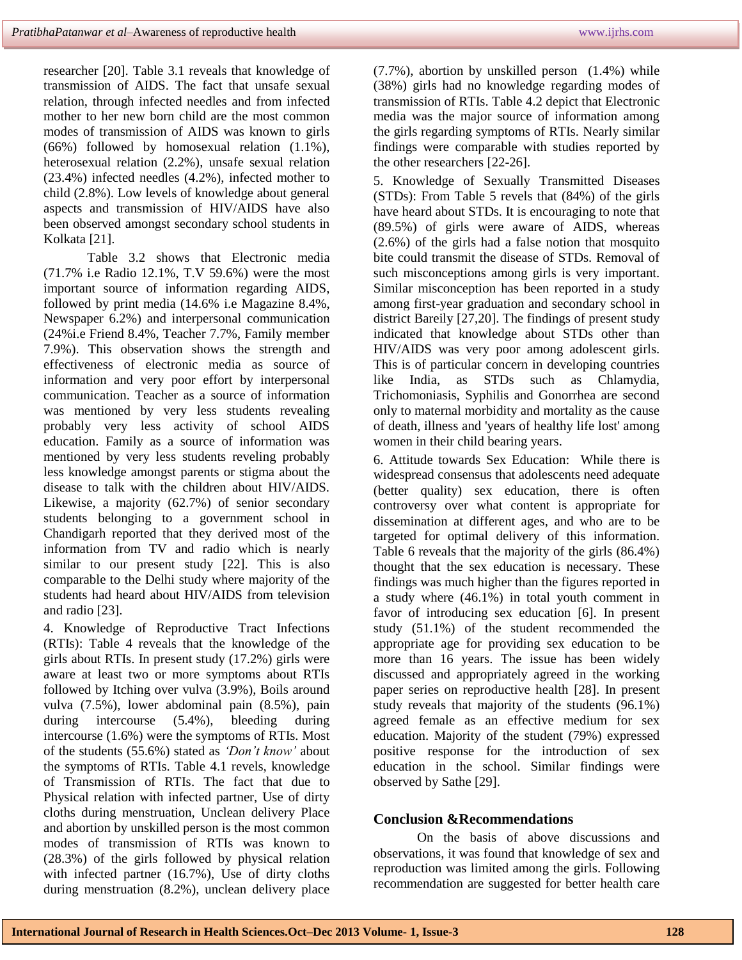researcher [20]. Table 3.1 reveals that knowledge of transmission of AIDS. The fact that unsafe sexual relation, through infected needles and from infected mother to her new born child are the most common modes of transmission of AIDS was known to girls (66%) followed by homosexual relation (1.1%), heterosexual relation (2.2%), unsafe sexual relation (23.4%) infected needles (4.2%), infected mother to child (2.8%). Low levels of knowledge about general aspects and transmission of HIV/AIDS have also been observed amongst secondary school students in Kolkata [21].

Table 3.2 shows that Electronic media (71.7% i.e Radio 12.1%, T.V 59.6%) were the most important source of information regarding AIDS, followed by print media (14.6% i.e Magazine 8.4%, Newspaper 6.2%) and interpersonal communication (24%i.e Friend 8.4%, Teacher 7.7%, Family member 7.9%). This observation shows the strength and effectiveness of electronic media as source of information and very poor effort by interpersonal communication. Teacher as a source of information was mentioned by very less students revealing probably very less activity of school AIDS education. Family as a source of information was mentioned by very less students reveling probably less knowledge amongst parents or stigma about the disease to talk with the children about HIV/AIDS. Likewise, a majority (62.7%) of senior secondary students belonging to a government school in Chandigarh reported that they derived most of the information from TV and radio which is nearly similar to our present study [22]. This is also comparable to the Delhi study where majority of the students had heard about HIV/AIDS from television and radio [23].

4. Knowledge of Reproductive Tract Infections (RTIs): Table 4 reveals that the knowledge of the girls about RTIs. In present study (17.2%) girls were aware at least two or more symptoms about RTIs followed by Itching over vulva (3.9%), Boils around vulva (7.5%), lower abdominal pain (8.5%), pain during intercourse (5.4%), bleeding during intercourse (1.6%) were the symptoms of RTIs. Most of the students (55.6%) stated as *'Don't know'* about the symptoms of RTIs. Table 4.1 revels, knowledge of Transmission of RTIs. The fact that due to Physical relation with infected partner, Use of dirty cloths during menstruation, Unclean delivery Place and abortion by unskilled person is the most common modes of transmission of RTIs was known to (28.3%) of the girls followed by physical relation with infected partner (16.7%), Use of dirty cloths during menstruation (8.2%), unclean delivery place

(7.7%), abortion by unskilled person (1.4%) while (38%) girls had no knowledge regarding modes of transmission of RTIs. Table 4.2 depict that Electronic media was the major source of information among the girls regarding symptoms of RTIs. Nearly similar findings were comparable with studies reported by the other researchers [22-26].

5. Knowledge of Sexually Transmitted Diseases (STDs): From Table 5 revels that (84%) of the girls have heard about STDs. It is encouraging to note that (89.5%) of girls were aware of AIDS, whereas (2.6%) of the girls had a false notion that mosquito bite could transmit the disease of STDs. Removal of such misconceptions among girls is very important. Similar misconception has been reported in a study among first-year graduation and secondary school in district Bareily [27,20]. The findings of present study indicated that knowledge about STDs other than HIV/AIDS was very poor among adolescent girls. This is of particular concern in developing countries like India, as STDs such as Chlamydia, Trichomoniasis, Syphilis and Gonorrhea are second only to maternal morbidity and mortality as the cause of death, illness and 'years of healthy life lost' among women in their child bearing years.

6. Attitude towards Sex Education: While there is widespread consensus that adolescents need adequate (better quality) sex education, there is often controversy over what content is appropriate for dissemination at different ages, and who are to be targeted for optimal delivery of this information. Table 6 reveals that the majority of the girls (86.4%) thought that the sex education is necessary. These findings was much higher than the figures reported in a study where (46.1%) in total youth comment in favor of introducing sex education [6]. In present study (51.1%) of the student recommended the appropriate age for providing sex education to be more than 16 years. The issue has been widely discussed and appropriately agreed in the working paper series on reproductive health [28]. In present study reveals that majority of the students (96.1%) agreed female as an effective medium for sex education. Majority of the student (79%) expressed positive response for the introduction of sex education in the school. Similar findings were observed by Sathe [29].

## **Conclusion &Recommendations**

On the basis of above discussions and observations, it was found that knowledge of sex and reproduction was limited among the girls. Following recommendation are suggested for better health care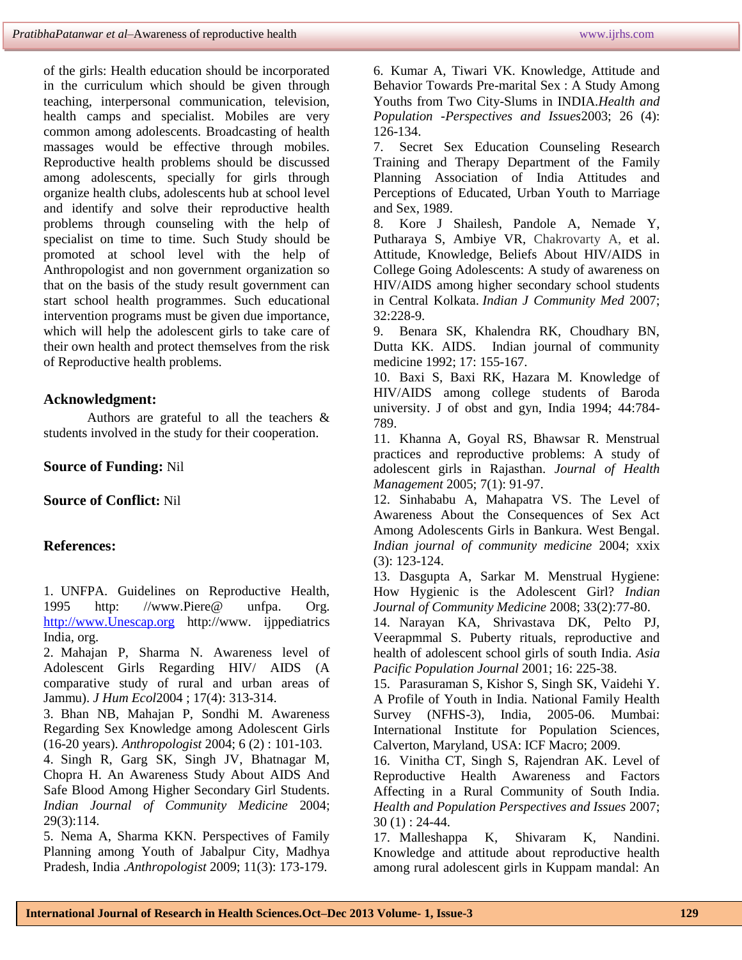of the girls: Health education should be incorporated in the curriculum which should be given through teaching, interpersonal communication, television, health camps and specialist. Mobiles are very common among adolescents. Broadcasting of health massages would be effective through mobiles. Reproductive health problems should be discussed among adolescents, specially for girls through organize health clubs, adolescents hub at school level and identify and solve their reproductive health problems through counseling with the help of specialist on time to time. Such Study should be promoted at school level with the help of Anthropologist and non government organization so that on the basis of the study result government can start school health programmes. Such educational intervention programs must be given due importance, which will help the adolescent girls to take care of their own health and protect themselves from the risk of Reproductive health problems.

## **Acknowledgment:**

Authors are grateful to all the teachers & students involved in the study for their cooperation.

**Source of Funding:** Nil

## **Source of Conflict:** Nil

# **References:**

1. UNFPA. Guidelines on Reproductive Health, 1995 http: //www.Piere@ unfpa. Org. [http://www.Unescap.org](http://www.unescap.org/) http://www. ijppediatrics India, org.

2. Mahajan P, Sharma N. Awareness level of Adolescent Girls Regarding HIV/ AIDS (A comparative study of rural and urban areas of Jammu). *J Hum Ecol*2004 ; 17(4): 313-314.

3. Bhan NB, Mahajan P, Sondhi M. Awareness Regarding Sex Knowledge among Adolescent Girls (16-20 years)*. Anthropologist* 2004; 6 (2) : 101-103.

4. Singh R, Garg SK, Singh JV, Bhatnagar M, Chopra H. An Awareness Study About AIDS And Safe Blood Among Higher Secondary Girl Students. *Indian Journal of Community Medicine* 2004; 29(3):114.

5. Nema A, Sharma KKN. Perspectives of Family Planning among Youth of Jabalpur City, Madhya Pradesh, India .*Anthropologist* 2009; 11(3): 173-179.

6. Kumar A, Tiwari VK. Knowledge, Attitude and Behavior Towards Pre-marital Sex : A Study Among Youths from Two City-Slums in INDIA.*Health and Population -Perspectives and Issues*2003; 26 (4): 126-134.

7. Secret Sex Education Counseling Research Training and Therapy Department of the Family Planning Association of India Attitudes and Perceptions of Educated, Urban Youth to Marriage and Sex, 1989.

8. Kore J Shailesh, Pandole A, Nemade Y, Putharaya S, Ambiye VR, Chakrovarty A, et al. Attitude, Knowledge, Beliefs About HIV/AIDS in College Going Adolescents: A study of awareness on HIV/AIDS among higher secondary school students in Central Kolkata. *Indian J Community Med* 2007; 32:228-9.

9. Benara SK, Khalendra RK, Choudhary BN, Dutta KK. AIDS. Indian journal of community medicine 1992; 17: 155-167.

10. Baxi S, Baxi RK, Hazara M. Knowledge of HIV/AIDS among college students of Baroda university. J of obst and gyn, India 1994; 44:784- 789.

11. Khanna A, Goyal RS, Bhawsar R. Menstrual practices and reproductive problems: A study of adolescent girls in Rajasthan. *Journal of Health Management* 2005; 7(1): 91-97.

12. Sinhababu A, Mahapatra VS. The Level of Awareness About the Consequences of Sex Act Among Adolescents Girls in Bankura. West Bengal. *Indian journal of community medicine* 2004; xxix (3): 123-124.

13. Dasgupta A, Sarkar M. Menstrual Hygiene: How Hygienic is the Adolescent Girl? *Indian Journal of Community Medicine* 2008; 33(2):77-80.

14. Narayan KA, Shrivastava DK, Pelto PJ, Veerapmmal S. Puberty rituals, reproductive and health of adolescent school girls of south India. *Asia Pacific Population Journal* 2001; 16: 225-38.

15. Parasuraman S, Kishor S, Singh SK, Vaidehi Y. A Profile of Youth in India. National Family Health Survey (NFHS-3), India, 2005-06. Mumbai: International Institute for Population Sciences, Calverton, Maryland, USA: ICF Macro; 2009.

16. Vinitha CT, Singh S, Rajendran AK. Level of Reproductive Health Awareness and Factors Affecting in a Rural Community of South India. *Health and Population Perspectives and Issues* 2007; 30 (1) : 24-44.

17. Malleshappa K, Shivaram K, Nandini. Knowledge and attitude about reproductive health among rural adolescent girls in Kuppam mandal: An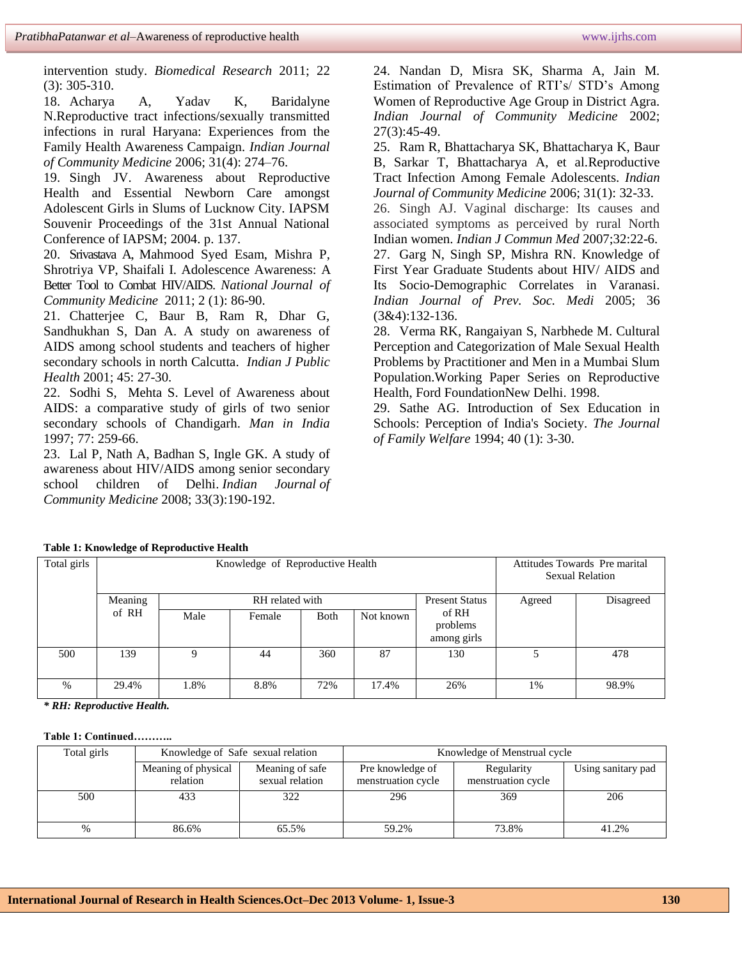intervention study. *Biomedical Research* 2011; 22 (3): 305-310.

18. Acharya A, Yadav K, Baridalyne N.Reproductive tract infections/sexually transmitted infections in rural Haryana: Experiences from the Family Health Awareness Campaign. *Indian Journal of Community Medicine* 2006; 31(4): 274–76.

19. Singh JV. Awareness about Reproductive Health and Essential Newborn Care amongst Adolescent Girls in Slums of Lucknow City. IAPSM Souvenir Proceedings of the 31st Annual National Conference of IAPSM; 2004. p. 137.

20. Srivastava A, Mahmood Syed Esam, Mishra P, Shrotriya VP, Shaifali I. Adolescence Awareness: A Better Tool to Combat HIV/AIDS. *National Journal of Community Medicine* 2011; 2 (1): 86-90.

21. Chatterjee C, Baur B, Ram R, Dhar G, Sandhukhan S, Dan A. A study on awareness of AIDS among school students and teachers of higher secondary schools in north Calcutta. *Indian J Public Health* 2001; 45: 27-30.

22. Sodhi S, Mehta S. Level of Awareness about AIDS: a comparative study of girls of two senior secondary schools of Chandigarh. *Man in India* 1997; 77: 259-66.

23. Lal P, Nath A, Badhan S, Ingle GK. A study of awareness about HIV/AIDS among senior secondary school children of Delhi. *Indian Journal of Community Medicine* 2008; 33(3):190-192.

24. Nandan D, Misra SK, Sharma A, Jain M. Estimation of Prevalence of RTI's/ STD's Among Women of Reproductive Age Group in District Agra. *Indian Journal of Community Medicine* 2002; 27(3):45-49.

25. Ram R, Bhattacharya SK, Bhattacharya K, Baur B, Sarkar T, Bhattacharya A, et al.Reproductive Tract Infection Among Female Adolescents. *Indian Journal of Community Medicine* 2006; 31(1): 32-33.

26. Singh AJ. Vaginal discharge: Its causes and associated symptoms as perceived by rural North Indian women. *Indian J Commun Med* 2007;32:22-6. 27. Garg N, Singh SP, Mishra RN. Knowledge of

First Year Graduate Students about HIV/ AIDS and Its Socio-Demographic Correlates in Varanasi. *Indian Journal of Prev. Soc. Medi* 2005; 36 (3&4):132-136.

28. Verma RK, Rangaiyan S, Narbhede M. Cultural Perception and Categorization of Male Sexual Health Problems by Practitioner and Men in a Mumbai Slum Population.Working Paper Series on Reproductive Health, Ford FoundationNew Delhi. 1998.

29. Sathe AG. Introduction of Sex Education in Schools: Perception of India's Society. *The Journal of Family Welfare* 1994; 40 (1): 3-30.

| Total girls |         | Knowledge of Reproductive Health |                       | Attitudes Towards Pre marital<br><b>Sexual Relation</b> |           |                                  |    |       |
|-------------|---------|----------------------------------|-----------------------|---------------------------------------------------------|-----------|----------------------------------|----|-------|
|             | Meaning |                                  | <b>Present Status</b> | Agreed                                                  | Disagreed |                                  |    |       |
|             | of RH   | Male                             | Female                | <b>B</b> oth                                            | Not known | of RH<br>problems<br>among girls |    |       |
| 500         | 139     | 9                                | 44                    | 360                                                     | 87        | 130                              |    | 478   |
| $\%$        | 29.4%   | 1.8%                             | 8.8%                  | 72%                                                     | 17.4%     | 26%                              | 1% | 98.9% |

**Table 1: Knowledge of Reproductive Health** 

*\* RH: Reproductive Health.*

#### **Table 1: Continued………..**

| Total girls | Knowledge of Safe sexual relation |                 | Knowledge of Menstrual cycle |                    |                    |  |  |
|-------------|-----------------------------------|-----------------|------------------------------|--------------------|--------------------|--|--|
|             | Meaning of physical               | Meaning of safe | Pre knowledge of             | Regularity         | Using sanitary pad |  |  |
|             | sexual relation<br>relation       |                 | menstruation cycle           | menstruation cycle |                    |  |  |
| 500         | 433                               | 322             | 296                          | 369                | 206                |  |  |
|             |                                   |                 |                              |                    |                    |  |  |
| $\%$        | 86.6%                             | 65.5%           | 59.2%                        | 73.8%              | 41.2%              |  |  |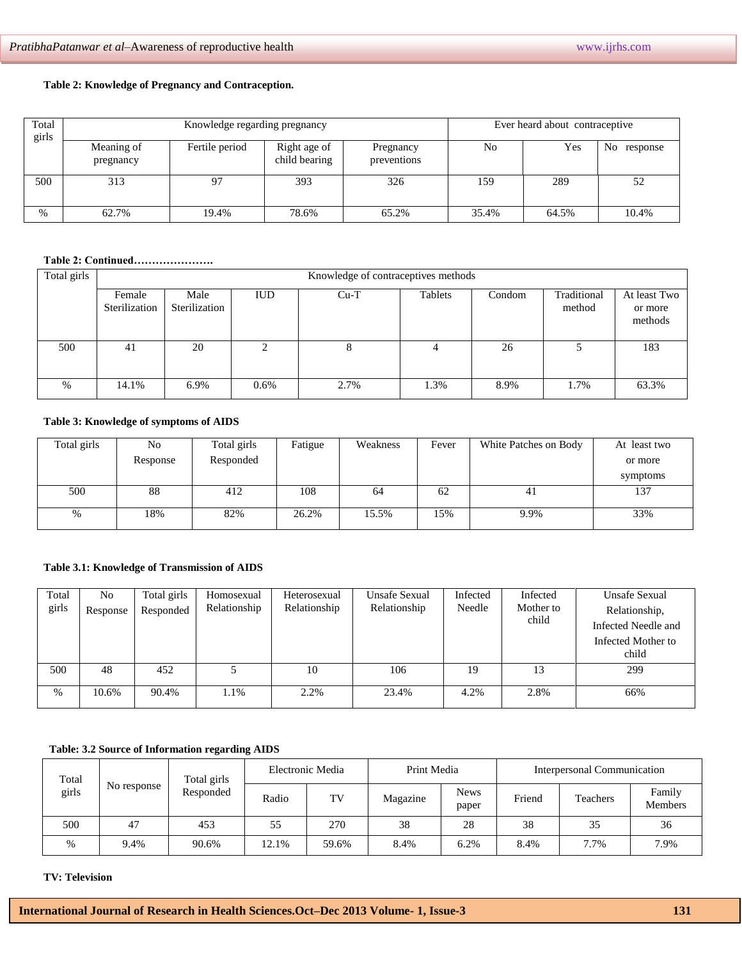#### **Table 2: Knowledge of Pregnancy and Contraception.**

| Total<br>girls |                         | Knowledge regarding pregnancy | Ever heard about contraceptive |                          |       |       |                |  |  |  |
|----------------|-------------------------|-------------------------------|--------------------------------|--------------------------|-------|-------|----------------|--|--|--|
|                | Meaning of<br>pregnancy | Fertile period                | Right age of<br>child bearing  | Pregnancy<br>preventions | No    | Yes   | No<br>response |  |  |  |
| 500            | 313                     | 97                            | 393                            | 326                      | 159   | 289   | 52             |  |  |  |
| $\%$           | 62.7%                   | 19.4%                         | 78.6%                          | 65.2%                    | 35.4% | 64.5% | 10.4%          |  |  |  |

## **Table 2: Continued………………….**

| Total girls |                         |                       |            | Knowledge of contraceptives methods |        |                       |                                    |       |
|-------------|-------------------------|-----------------------|------------|-------------------------------------|--------|-----------------------|------------------------------------|-------|
|             | Female<br>Sterilization | Male<br>Sterilization | <b>IUD</b> | Tablets                             | Condom | Traditional<br>method | At least Two<br>or more<br>methods |       |
| 500         | 41                      | 20                    |            | x.                                  |        | 26                    |                                    | 183   |
| $\%$        | 14.1%                   | 6.9%                  | $0.6\%$    | 2.7%                                | 1.3%   | 8.9%                  | 1.7%                               | 63.3% |

#### **Table 3: Knowledge of symptoms of AIDS**

| Total girls | No       | Total girls | Fatigue | Weakness | Fever | White Patches on Body | At least two |
|-------------|----------|-------------|---------|----------|-------|-----------------------|--------------|
|             | Response | Responded   |         |          |       |                       | or more      |
|             |          |             |         |          |       |                       | symptoms     |
| 500         | 88       | 412         | 108     | 64       | 62    | 41                    | 137          |
|             |          |             |         |          |       |                       |              |
| %           | 18%      | 82%         | 26.2%   | 15.5%    | 15%   | 9.9%                  | 33%          |

### **Table 3.1: Knowledge of Transmission of AIDS**

| Total<br>girls | No<br>Response | Total girls<br>Responded | Homosexual<br>Relationship | Heterosexual<br>Relationship | Unsafe Sexual<br>Relationship | Infected<br>Needle | Infected<br>Mother to<br>child | <b>Unsafe Sexual</b><br>Relationship,<br>Infected Needle and<br>Infected Mother to<br>child |
|----------------|----------------|--------------------------|----------------------------|------------------------------|-------------------------------|--------------------|--------------------------------|---------------------------------------------------------------------------------------------|
| 500            | 48             | 452                      |                            | 10                           | 106                           | 19                 | 13                             | 299                                                                                         |
| $\%$           | 10.6%          | 90.4%                    | 1.1%                       | 2.2%                         | 23.4%                         | 4.2%               | 2.8%                           | 66%                                                                                         |

#### **Table: 3.2 Source of Information regarding AIDS**

| Total<br>girls | No response | Total girls<br>Responded | Electronic Media |       | Print Media |                      | Interpersonal Communication |                 |                   |  |
|----------------|-------------|--------------------------|------------------|-------|-------------|----------------------|-----------------------------|-----------------|-------------------|--|
|                |             |                          | Radio            | TV    | Magazine    | <b>News</b><br>paper | Friend                      | <b>Teachers</b> | Family<br>Members |  |
| 500            | 47          | 453                      | 55               | 270   | 38          | 28                   | 38                          | 35              | 36                |  |
| $\%$           | 9.4%        | 90.6%                    | 12.1%            | 59.6% | 8.4%        | 6.2%                 | 8.4%                        | 7.7%            | 7.9%              |  |

#### **TV: Television**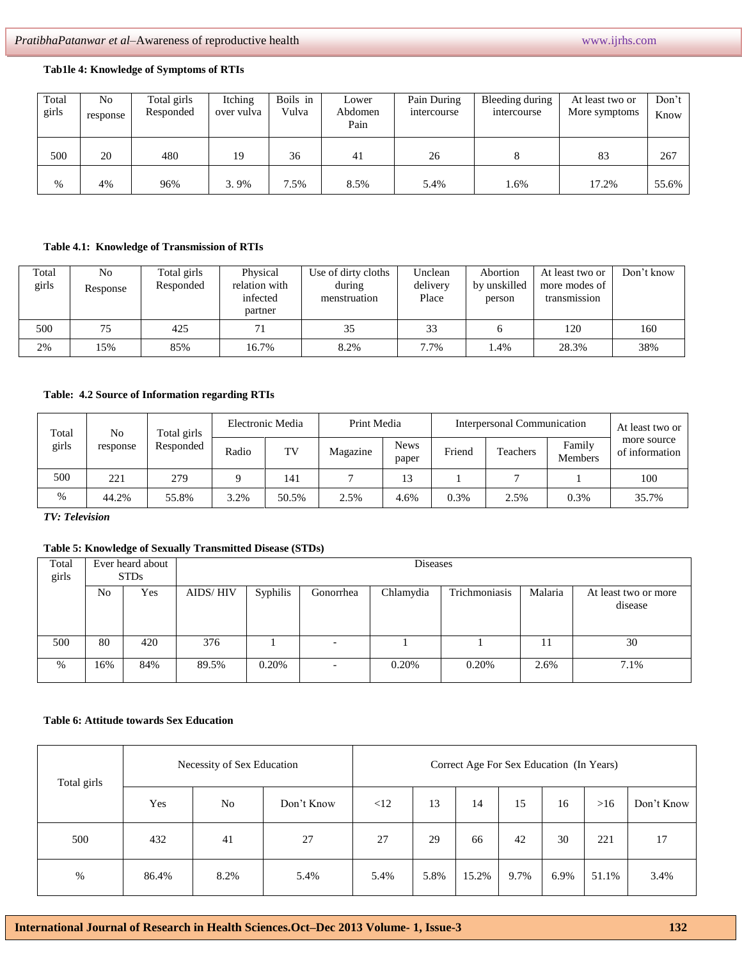#### **Tab1le 4: Knowledge of Symptoms of RTIs**

| Total<br>girls | No<br>response | Total girls<br>Responded | Itching<br>over vulva | Boils in<br>Vulva | Lower<br>Abdomen<br>Pain | Pain During<br>intercourse | Bleeding during<br>intercourse | At least two or<br>More symptoms | Don't<br>Know |
|----------------|----------------|--------------------------|-----------------------|-------------------|--------------------------|----------------------------|--------------------------------|----------------------------------|---------------|
| 500            | 20             | 480                      | 19                    | 36                | 41                       | 26                         |                                | 83                               | 267           |
| %              | 4%             | 96%                      | 3.9%                  | 1.5%<br>−         | 8.5%                     | 5.4%                       | 1.6%                           | 17.2%                            | 55.6%         |

### **Table 4.1: Knowledge of Transmission of RTIs**

| Total<br>girls | No<br>Response | Total girls<br>Responded | Physical<br>relation with<br>infected<br>partner | Use of dirty cloths<br>during<br>menstruation | Unclean<br>delivery<br>Place | Abortion<br>by unskilled<br>person | At least two or<br>more modes of<br>transmission | Don't know |
|----------------|----------------|--------------------------|--------------------------------------------------|-----------------------------------------------|------------------------------|------------------------------------|--------------------------------------------------|------------|
| 500            |                | 425                      |                                                  | 35                                            | 33                           |                                    | 120                                              | 160        |
| 2%             | 15%            | 85%                      | 16.7%                                            | 8.2%                                          | 7.7%                         | .4%                                | 28.3%                                            | 38%        |

## **Table: 4.2 Source of Information regarding RTIs**

| Total<br>No<br>girls |       | Total girls | Electronic Media |       | Print Media |          | Interpersonal Communication | At least two or |          |                          |
|----------------------|-------|-------------|------------------|-------|-------------|----------|-----------------------------|-----------------|----------|--------------------------|
|                      |       | response    | Responded        | Radio | TV          | Magazine | <b>News</b><br>paper        | Friend          | Teachers | Family<br><b>Members</b> |
| 500                  | 221   | 279         |                  | 141   |             | 13       |                             |                 |          | 100                      |
| $\%$                 | 44.2% | 55.8%       | 3.2%             | 50.5% | 2.5%        | 4.6%     | 0.3%                        | 2.5%            | 0.3%     | 35.7%                    |

*TV: Television*

## **Table 5: Knowledge of Sexually Transmitted Disease (STDs)**

| Total<br>girls |                | Ever heard about<br><b>STDs</b> |                 |          |                          |           |               |         |                                 |
|----------------|----------------|---------------------------------|-----------------|----------|--------------------------|-----------|---------------|---------|---------------------------------|
|                | N <sub>0</sub> | Yes                             | <b>AIDS/HIV</b> | Syphilis | Gonorrhea                | Chlamydia | Trichmoniasis | Malaria | At least two or more<br>disease |
| 500            | 80             | 420                             | 376             |          | -                        |           |               | 11      | 30                              |
| $\%$           | 16%            | 84%                             | 89.5%           | 0.20%    | $\overline{\phantom{a}}$ | 0.20%     | 0.20%         | 2.6%    | 7.1%                            |

#### **Table 6: Attitude towards Sex Education**

| Total girls |       | Necessity of Sex Education |            | Correct Age For Sex Education (In Years) |      |       |      |      |       |            |
|-------------|-------|----------------------------|------------|------------------------------------------|------|-------|------|------|-------|------------|
|             | Yes   | No                         | Don't Know | <12                                      | 13   | 14    | 15   | 16   | >16   | Don't Know |
| 500         | 432   | 41                         | 27         | 27                                       | 29   | 66    | 42   | 30   | 221   | 17         |
| %           | 86.4% | 8.2%                       | 5.4%       | 5.4%                                     | 5.8% | 15.2% | 9.7% | 6.9% | 51.1% | 3.4%       |